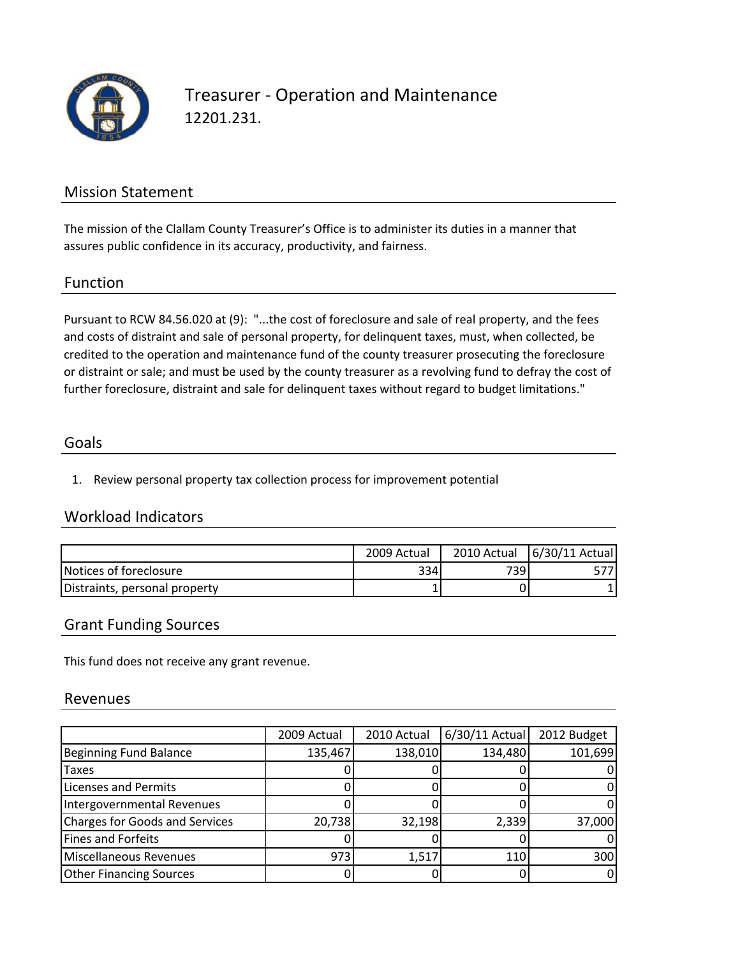

## Treasurer ‐ Operation and Maintenance 12201.231.

## Mission Statement

The mission of the Clallam County Treasurer's Office is to administer its duties in a manner that assures public confidence in its accuracy, productivity, and fairness.

### Function

Pursuant to RCW 84.56.020 at (9): "...the cost of foreclosure and sale of real property, and the fees and costs of distraint and sale of personal property, for delinquent taxes, must, when collected, be credited to the operation and maintenance fund of the county treasurer prosecuting the foreclosure or distraint or sale; and must be used by the county treasurer as a revolving fund to defray the cost of further foreclosure, distraint and sale for delinquent taxes without regard to budget limitations."

### Goals

1. Review personal property tax collection process for improvement potential

## Workload Indicators

|                               | 2009 Actual |      | 2010 Actual   6/30/11 Actual |
|-------------------------------|-------------|------|------------------------------|
| Notices of foreclosure        | 334         | 7391 |                              |
| Distraints, personal property |             |      |                              |

### Grant Funding Sources

This fund does not receive any grant revenue.

#### Revenues

|                                | 2009 Actual | 2010 Actual | 6/30/11 Actual | 2012 Budget |
|--------------------------------|-------------|-------------|----------------|-------------|
| Beginning Fund Balance         | 135,467     | 138,010     | 134,480        | 101,699     |
| <b>Taxes</b>                   |             |             |                |             |
| <b>Licenses and Permits</b>    |             |             |                |             |
| Intergovernmental Revenues     |             |             |                |             |
| Charges for Goods and Services | 20,738      | 32,198      | 2,339          | 37,000      |
| Fines and Forfeits             |             |             |                |             |
| Miscellaneous Revenues         | 973         | 1,517       | 110            | 300         |
| <b>Other Financing Sources</b> |             |             |                |             |